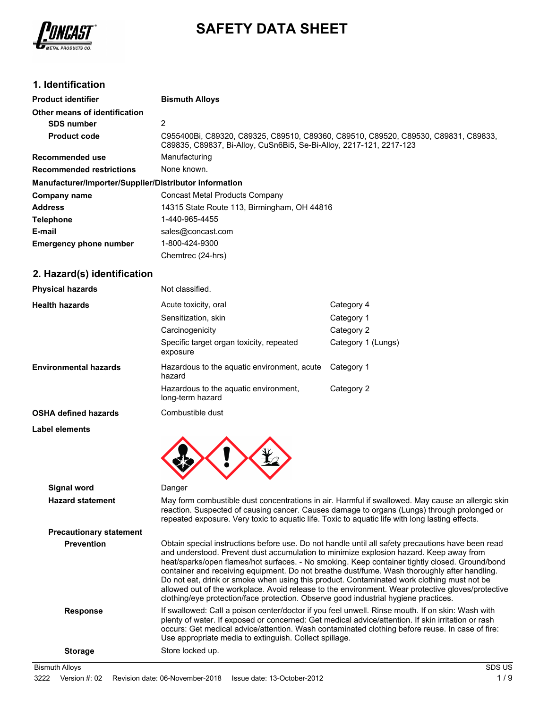

# **SAFETY DATA SHEET**

# **1. Identification**

| <b>Product identifier</b>                              | <b>Bismuth Alloys</b>                                                                                                                                     |
|--------------------------------------------------------|-----------------------------------------------------------------------------------------------------------------------------------------------------------|
| Other means of identification                          |                                                                                                                                                           |
| <b>SDS number</b>                                      | 2                                                                                                                                                         |
| <b>Product code</b>                                    | C955400Bi, C89320, C89325, C89510, C89360, C89510, C89520, C89530, C89831, C89833,<br>C89835, C89837, Bi-Alloy, CuSn6Bi5, Se-Bi-Alloy, 2217-121, 2217-123 |
| Recommended use                                        | Manufacturing                                                                                                                                             |
| <b>Recommended restrictions</b>                        | None known.                                                                                                                                               |
| Manufacturer/Importer/Supplier/Distributor information |                                                                                                                                                           |
| Company name                                           | Concast Metal Products Company                                                                                                                            |
| <b>Address</b>                                         | 14315 State Route 113, Birmingham, OH 44816                                                                                                               |
| <b>Telephone</b>                                       | 1-440-965-4455                                                                                                                                            |
| E-mail                                                 | sales@concast.com                                                                                                                                         |
| <b>Emergency phone number</b>                          | 1-800-424-9300                                                                                                                                            |
|                                                        | Chemtrec (24-hrs)                                                                                                                                         |

# **2. Hazard(s) identification**

| <b>Physical hazards</b>      | Not classified.                                           |                    |
|------------------------------|-----------------------------------------------------------|--------------------|
| <b>Health hazards</b>        | Acute toxicity, oral                                      | Category 4         |
|                              | Sensitization, skin                                       | Category 1         |
|                              | Carcinogenicity                                           | Category 2         |
|                              | Specific target organ toxicity, repeated<br>exposure      | Category 1 (Lungs) |
| <b>Environmental hazards</b> | Hazardous to the aquatic environment, acute<br>hazard     | Category 1         |
|                              | Hazardous to the aquatic environment,<br>long-term hazard | Category 2         |
| <b>OSHA defined hazards</b>  | Combustible dust                                          |                    |

**Label elements**



| <b>Signal word</b>             | Danger                                                                                                                                                                                                                                                                                                                                                                                                                                                                                                                                                                                                                                                                                  |
|--------------------------------|-----------------------------------------------------------------------------------------------------------------------------------------------------------------------------------------------------------------------------------------------------------------------------------------------------------------------------------------------------------------------------------------------------------------------------------------------------------------------------------------------------------------------------------------------------------------------------------------------------------------------------------------------------------------------------------------|
| <b>Hazard statement</b>        | May form combustible dust concentrations in air. Harmful if swallowed. May cause an allergic skin<br>reaction. Suspected of causing cancer. Causes damage to organs (Lungs) through prolonged or<br>repeated exposure. Very toxic to aquatic life. Toxic to aquatic life with long lasting effects.                                                                                                                                                                                                                                                                                                                                                                                     |
| <b>Precautionary statement</b> |                                                                                                                                                                                                                                                                                                                                                                                                                                                                                                                                                                                                                                                                                         |
| <b>Prevention</b>              | Obtain special instructions before use. Do not handle until all safety precautions have been read<br>and understood. Prevent dust accumulation to minimize explosion hazard. Keep away from<br>heat/sparks/open flames/hot surfaces. - No smoking. Keep container tightly closed. Ground/bond<br>container and receiving equipment. Do not breathe dust/fume. Wash thoroughly after handling.<br>Do not eat, drink or smoke when using this product. Contaminated work clothing must not be<br>allowed out of the workplace. Avoid release to the environment. Wear protective gloves/protective<br>clothing/eye protection/face protection. Observe good industrial hygiene practices. |
| <b>Response</b>                | If swallowed: Call a poison center/doctor if you feel unwell. Rinse mouth. If on skin: Wash with<br>plenty of water. If exposed or concerned: Get medical advice/attention. If skin irritation or rash<br>occurs: Get medical advice/attention. Wash contaminated clothing before reuse. In case of fire:<br>Use appropriate media to extinguish. Collect spillage.                                                                                                                                                                                                                                                                                                                     |
| <b>Storage</b>                 | Store locked up.                                                                                                                                                                                                                                                                                                                                                                                                                                                                                                                                                                                                                                                                        |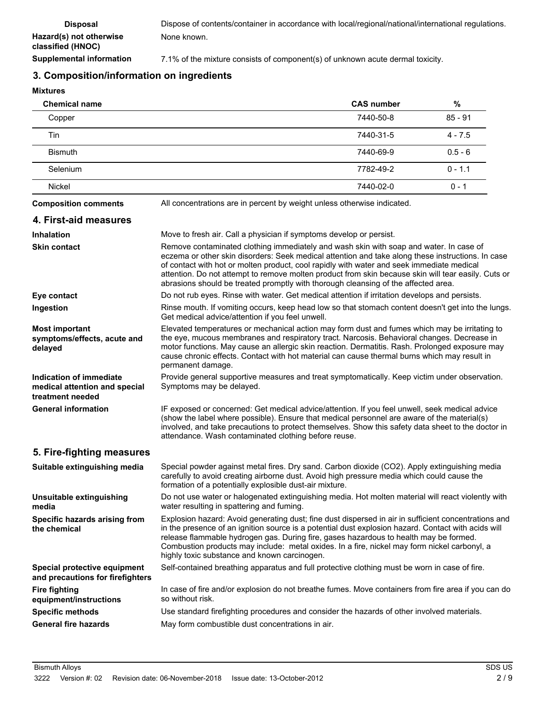### **3. Composition/information on ingredients**

**Mixtures**

| <b>Chemical name</b> | <b>CAS number</b> | %         |
|----------------------|-------------------|-----------|
| Copper               | 7440-50-8         | $85 - 91$ |
| Tin                  | 7440-31-5         | $4 - 7.5$ |
| <b>Bismuth</b>       | 7440-69-9         | $0.5 - 6$ |
| Selenium             | 7782-49-2         | $0 - 1.1$ |
| <b>Nickel</b>        | 7440-02-0         | $0 - 1$   |

**Composition comments** All concentrations are in percent by weight unless otherwise indicated.

# **4. First-aid measures**

| 4. FIISL-dIU IIIBASUIBS                                                      |                                                                                                                                                                                                                                                                                                                                                                                                                                                                                       |
|------------------------------------------------------------------------------|---------------------------------------------------------------------------------------------------------------------------------------------------------------------------------------------------------------------------------------------------------------------------------------------------------------------------------------------------------------------------------------------------------------------------------------------------------------------------------------|
| <b>Inhalation</b>                                                            | Move to fresh air. Call a physician if symptoms develop or persist.                                                                                                                                                                                                                                                                                                                                                                                                                   |
| <b>Skin contact</b>                                                          | Remove contaminated clothing immediately and wash skin with soap and water. In case of<br>eczema or other skin disorders: Seek medical attention and take along these instructions. In case<br>of contact with hot or molten product, cool rapidly with water and seek immediate medical<br>attention. Do not attempt to remove molten product from skin because skin will tear easily. Cuts or<br>abrasions should be treated promptly with thorough cleansing of the affected area. |
| Eye contact                                                                  | Do not rub eyes. Rinse with water. Get medical attention if irritation develops and persists.                                                                                                                                                                                                                                                                                                                                                                                         |
| Ingestion                                                                    | Rinse mouth. If vomiting occurs, keep head low so that stomach content doesn't get into the lungs.<br>Get medical advice/attention if you feel unwell.                                                                                                                                                                                                                                                                                                                                |
| <b>Most important</b><br>symptoms/effects, acute and<br>delayed              | Elevated temperatures or mechanical action may form dust and fumes which may be irritating to<br>the eye, mucous membranes and respiratory tract. Narcosis. Behavioral changes. Decrease in<br>motor functions. May cause an allergic skin reaction. Dermatitis. Rash. Prolonged exposure may<br>cause chronic effects. Contact with hot material can cause thermal burns which may result in<br>permanent damage.                                                                    |
| Indication of immediate<br>medical attention and special<br>treatment needed | Provide general supportive measures and treat symptomatically. Keep victim under observation.<br>Symptoms may be delayed.                                                                                                                                                                                                                                                                                                                                                             |
| <b>General information</b>                                                   | IF exposed or concerned: Get medical advice/attention. If you feel unwell, seek medical advice<br>(show the label where possible). Ensure that medical personnel are aware of the material(s)<br>involved, and take precautions to protect themselves. Show this safety data sheet to the doctor in<br>attendance. Wash contaminated clothing before reuse.                                                                                                                           |
| 5. Fire-fighting measures                                                    |                                                                                                                                                                                                                                                                                                                                                                                                                                                                                       |
| Suitable extinguishing media                                                 | Special powder against metal fires. Dry sand. Carbon dioxide (CO2). Apply extinguishing media<br>carefully to avoid creating airborne dust. Avoid high pressure media which could cause the<br>formation of a potentially explosible dust-air mixture.                                                                                                                                                                                                                                |
| Unsuitable extinguishing<br>media                                            | Do not use water or halogenated extinguishing media. Hot molten material will react violently with<br>water resulting in spattering and fuming.                                                                                                                                                                                                                                                                                                                                       |
| Specific hazards arising from<br>the chemical                                | Explosion hazard: Avoid generating dust; fine dust dispersed in air in sufficient concentrations and<br>in the presence of an ignition source is a potential dust explosion hazard. Contact with acids will<br>release flammable hydrogen gas. During fire, gases hazardous to health may be formed.<br>Combustion products may include: metal oxides. In a fire, nickel may form nickel carbonyl, a<br>highly toxic substance and known carcinogen.                                  |
| Special protective equipment<br>and precautions for firefighters             | Self-contained breathing apparatus and full protective clothing must be worn in case of fire.                                                                                                                                                                                                                                                                                                                                                                                         |
| <b>Fire fighting</b><br>equipment/instructions                               | In case of fire and/or explosion do not breathe fumes. Move containers from fire area if you can do<br>so without risk.                                                                                                                                                                                                                                                                                                                                                               |
| <b>Specific methods</b>                                                      | Use standard firefighting procedures and consider the hazards of other involved materials.                                                                                                                                                                                                                                                                                                                                                                                            |
| <b>General fire hazards</b>                                                  | May form combustible dust concentrations in air.                                                                                                                                                                                                                                                                                                                                                                                                                                      |
|                                                                              |                                                                                                                                                                                                                                                                                                                                                                                                                                                                                       |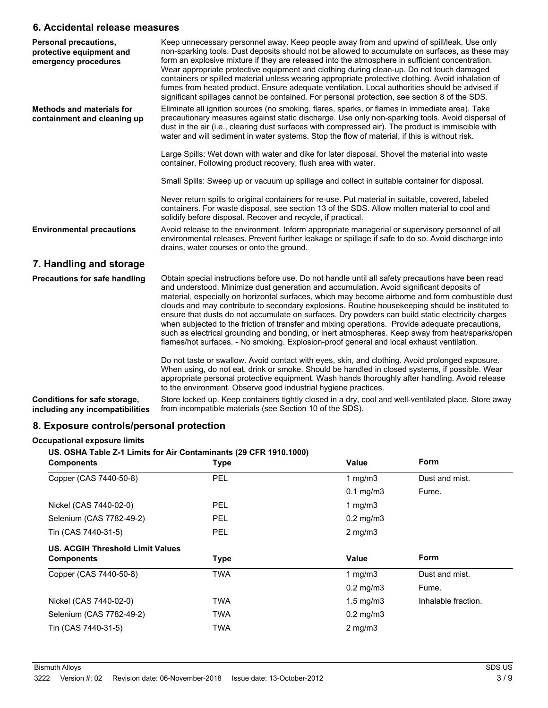### **6. Accidental release measures**

| <b>Personal precautions,</b><br>protective equipment and<br>emergency procedures | Keep unnecessary personnel away. Keep people away from and upwind of spill/leak. Use only<br>non-sparking tools. Dust deposits should not be allowed to accumulate on surfaces, as these may<br>form an explosive mixture if they are released into the atmosphere in sufficient concentration.<br>Wear appropriate protective equipment and clothing during clean-up. Do not touch damaged<br>containers or spilled material unless wearing appropriate protective clothing. Avoid inhalation of<br>fumes from heated product. Ensure adequate ventilation. Local authorities should be advised if<br>significant spillages cannot be contained. For personal protection, see section 8 of the SDS.                                                                                                         |
|----------------------------------------------------------------------------------|--------------------------------------------------------------------------------------------------------------------------------------------------------------------------------------------------------------------------------------------------------------------------------------------------------------------------------------------------------------------------------------------------------------------------------------------------------------------------------------------------------------------------------------------------------------------------------------------------------------------------------------------------------------------------------------------------------------------------------------------------------------------------------------------------------------|
| <b>Methods and materials for</b><br>containment and cleaning up                  | Eliminate all ignition sources (no smoking, flares, sparks, or flames in immediate area). Take<br>precautionary measures against static discharge. Use only non-sparking tools. Avoid dispersal of<br>dust in the air (i.e., clearing dust surfaces with compressed air). The product is immiscible with<br>water and will sediment in water systems. Stop the flow of material, if this is without risk.                                                                                                                                                                                                                                                                                                                                                                                                    |
|                                                                                  | Large Spills: Wet down with water and dike for later disposal. Shovel the material into waste<br>container. Following product recovery, flush area with water.                                                                                                                                                                                                                                                                                                                                                                                                                                                                                                                                                                                                                                               |
|                                                                                  | Small Spills: Sweep up or vacuum up spillage and collect in suitable container for disposal.                                                                                                                                                                                                                                                                                                                                                                                                                                                                                                                                                                                                                                                                                                                 |
|                                                                                  | Never return spills to original containers for re-use. Put material in suitable, covered, labeled<br>containers. For waste disposal, see section 13 of the SDS. Allow molten material to cool and<br>solidify before disposal. Recover and recycle, if practical.                                                                                                                                                                                                                                                                                                                                                                                                                                                                                                                                            |
| <b>Environmental precautions</b>                                                 | Avoid release to the environment. Inform appropriate managerial or supervisory personnel of all<br>environmental releases. Prevent further leakage or spillage if safe to do so. Avoid discharge into<br>drains, water courses or onto the ground.                                                                                                                                                                                                                                                                                                                                                                                                                                                                                                                                                           |
| 7. Handling and storage                                                          |                                                                                                                                                                                                                                                                                                                                                                                                                                                                                                                                                                                                                                                                                                                                                                                                              |
| <b>Precautions for safe handling</b>                                             | Obtain special instructions before use. Do not handle until all safety precautions have been read<br>and understood. Minimize dust generation and accumulation. Avoid significant deposits of<br>material, especially on horizontal surfaces, which may become airborne and form combustible dust<br>clouds and may contribute to secondary explosions. Routine housekeeping should be instituted to<br>ensure that dusts do not accumulate on surfaces. Dry powders can build static electricity charges<br>when subjected to the friction of transfer and mixing operations. Provide adequate precautions,<br>such as electrical grounding and bonding, or inert atmospheres. Keep away from heat/sparks/open<br>flames/hot surfaces. - No smoking. Explosion-proof general and local exhaust ventilation. |
|                                                                                  | Do not taste or swallow. Avoid contact with eyes, skin, and clothing. Avoid prolonged exposure.<br>When using, do not eat, drink or smoke. Should be handled in closed systems, if possible. Wear<br>appropriate personal protective equipment. Wash hands thoroughly after handling. Avoid release<br>to the environment. Observe good industrial hygiene practices.                                                                                                                                                                                                                                                                                                                                                                                                                                        |
| Conditions for safe storage,<br>including any incompatibilities                  | Store locked up. Keep containers tightly closed in a dry, cool and well-ventilated place. Store away<br>from incompatible materials (see Section 10 of the SDS).                                                                                                                                                                                                                                                                                                                                                                                                                                                                                                                                                                                                                                             |

# **8. Exposure controls/personal protection**

### **Occupational exposure limits**

**US. OSHA Table Z-1 Limits for Air Contaminants (29 CFR 1910.1000)**

| <b>Components</b>                       | <b>Type</b> | <b>Value</b>         | <b>Form</b>         |
|-----------------------------------------|-------------|----------------------|---------------------|
| Copper (CAS 7440-50-8)                  | PEL         | 1 $mq/m3$            | Dust and mist.      |
|                                         |             | $0.1$ mg/m $3$       | Fume.               |
| Nickel (CAS 7440-02-0)                  | <b>PEL</b>  | 1 mg/m $3$           |                     |
| Selenium (CAS 7782-49-2)                | <b>PEL</b>  | $0.2 \text{ mg/m}$ 3 |                     |
| Tin (CAS 7440-31-5)                     | PEL         | $2$ mg/m $3$         |                     |
| <b>US. ACGIH Threshold Limit Values</b> |             |                      |                     |
| <b>Components</b>                       | <b>Type</b> | Value                | <b>Form</b>         |
| Copper (CAS 7440-50-8)                  | <b>TWA</b>  | $1 \text{ mg/m}$     | Dust and mist.      |
|                                         |             | $0.2$ mg/m $3$       | Fume.               |
| Nickel (CAS 7440-02-0)                  | <b>TWA</b>  | $1.5 \text{ mg/m}$   | Inhalable fraction. |
| Selenium (CAS 7782-49-2)                | <b>TWA</b>  | $0.2$ mg/m $3$       |                     |
| Tin (CAS 7440-31-5)                     | <b>TWA</b>  | $2$ mg/m $3$         |                     |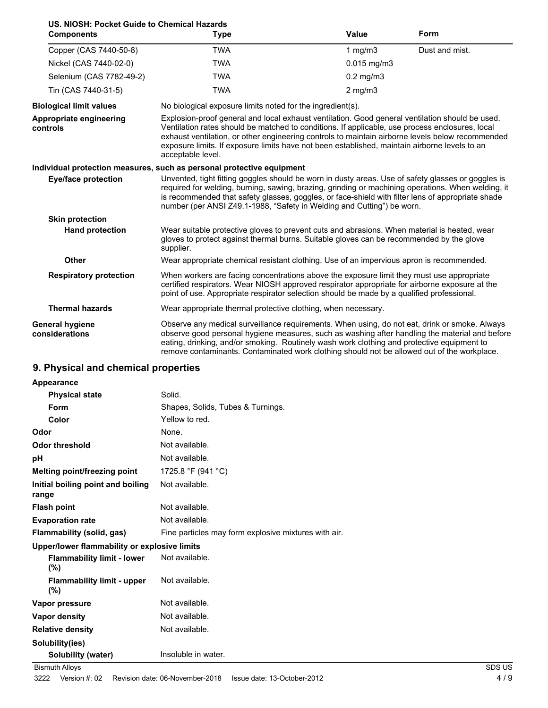| US. NIOSH: Pocket Guide to Chemical Hazards<br><b>Components</b> | <b>Type</b>                                                                                                                                                                                                                                                                                                                                                                                                                  | <b>Value</b>   | <b>Form</b>    |
|------------------------------------------------------------------|------------------------------------------------------------------------------------------------------------------------------------------------------------------------------------------------------------------------------------------------------------------------------------------------------------------------------------------------------------------------------------------------------------------------------|----------------|----------------|
| Copper (CAS 7440-50-8)                                           | <b>TWA</b>                                                                                                                                                                                                                                                                                                                                                                                                                   | 1 $mg/m3$      | Dust and mist. |
| Nickel (CAS 7440-02-0)                                           | <b>TWA</b>                                                                                                                                                                                                                                                                                                                                                                                                                   | $0.015$ mg/m3  |                |
| Selenium (CAS 7782-49-2)                                         | <b>TWA</b>                                                                                                                                                                                                                                                                                                                                                                                                                   | $0.2$ mg/m $3$ |                |
| Tin (CAS 7440-31-5)                                              | <b>TWA</b>                                                                                                                                                                                                                                                                                                                                                                                                                   | $2$ mg/m $3$   |                |
| <b>Biological limit values</b>                                   | No biological exposure limits noted for the ingredient(s).                                                                                                                                                                                                                                                                                                                                                                   |                |                |
| Appropriate engineering<br>controls                              | Explosion-proof general and local exhaust ventilation. Good general ventilation should be used.<br>Ventilation rates should be matched to conditions. If applicable, use process enclosures, local<br>exhaust ventilation, or other engineering controls to maintain airborne levels below recommended<br>exposure limits. If exposure limits have not been established, maintain airborne levels to an<br>acceptable level. |                |                |
|                                                                  | Individual protection measures, such as personal protective equipment                                                                                                                                                                                                                                                                                                                                                        |                |                |
| <b>Eye/face protection</b>                                       | Unvented, tight fitting goggles should be worn in dusty areas. Use of safety glasses or goggles is<br>required for welding, burning, sawing, brazing, grinding or machining operations. When welding, it<br>is recommended that safety glasses, goggles, or face-shield with filter lens of appropriate shade<br>number (per ANSI Z49.1-1988, "Safety in Welding and Cutting") be worn.                                      |                |                |
| <b>Skin protection</b>                                           |                                                                                                                                                                                                                                                                                                                                                                                                                              |                |                |
| <b>Hand protection</b>                                           | Wear suitable protective gloves to prevent cuts and abrasions. When material is heated, wear<br>gloves to protect against thermal burns. Suitable gloves can be recommended by the glove<br>supplier.                                                                                                                                                                                                                        |                |                |
| <b>Other</b>                                                     | Wear appropriate chemical resistant clothing. Use of an impervious apron is recommended.                                                                                                                                                                                                                                                                                                                                     |                |                |
| <b>Respiratory protection</b>                                    | When workers are facing concentrations above the exposure limit they must use appropriate<br>certified respirators. Wear NIOSH approved respirator appropriate for airborne exposure at the<br>point of use. Appropriate respirator selection should be made by a qualified professional.                                                                                                                                    |                |                |
| <b>Thermal hazards</b>                                           | Wear appropriate thermal protective clothing, when necessary.                                                                                                                                                                                                                                                                                                                                                                |                |                |
| <b>General hygiene</b><br>considerations                         | Observe any medical surveillance requirements. When using, do not eat, drink or smoke. Always<br>observe good personal hygiene measures, such as washing after handling the material and before<br>eating, drinking, and/or smoking. Routinely wash work clothing and protective equipment to<br>remove contaminants. Contaminated work clothing should not be allowed out of the workplace.                                 |                |                |

# **9. Physical and chemical properties**

| Appearance                                   |                                                      |        |
|----------------------------------------------|------------------------------------------------------|--------|
| <b>Physical state</b>                        | Solid.                                               |        |
| <b>Form</b>                                  | Shapes, Solids, Tubes & Turnings.                    |        |
| Color                                        | Yellow to red.                                       |        |
| Odor                                         | None.                                                |        |
| <b>Odor threshold</b>                        | Not available.                                       |        |
| pH                                           | Not available.                                       |        |
| Melting point/freezing point                 | 1725.8 °F (941 °C)                                   |        |
| Initial boiling point and boiling<br>range   | Not available.                                       |        |
| <b>Flash point</b>                           | Not available.                                       |        |
| <b>Evaporation rate</b>                      | Not available.                                       |        |
| Flammability (solid, gas)                    | Fine particles may form explosive mixtures with air. |        |
| Upper/lower flammability or explosive limits |                                                      |        |
| <b>Flammability limit - lower</b><br>$(\%)$  | Not available.                                       |        |
| <b>Flammability limit - upper</b><br>$(\% )$ | Not available.                                       |        |
| Vapor pressure                               | Not available.                                       |        |
| Vapor density                                | Not available.                                       |        |
| <b>Relative density</b>                      | Not available.                                       |        |
| Solubility(ies)                              |                                                      |        |
| Solubility (water)                           | Insoluble in water.                                  |        |
| <b>Bismuth Alloys</b>                        |                                                      | SDS US |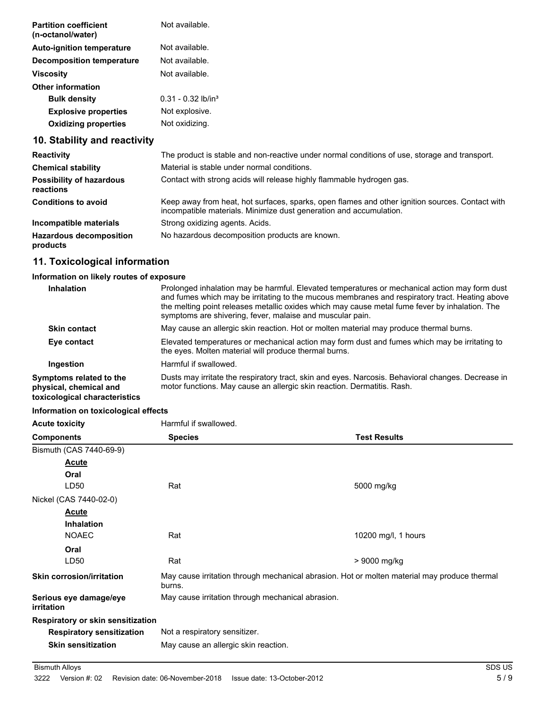| <b>Partition coefficient</b><br>(n-octanol/water) | Not available.                   |
|---------------------------------------------------|----------------------------------|
| <b>Auto-ignition temperature</b>                  | Not available.                   |
| Decomposition temperature                         | Not available.                   |
| <b>Viscosity</b>                                  | Not available.                   |
| <b>Other information</b>                          |                                  |
| <b>Bulk density</b>                               | $0.31 - 0.32$ lb/in <sup>3</sup> |
| <b>Explosive properties</b>                       | Not explosive.                   |
| <b>Oxidizing properties</b>                       | Not oxidizing.                   |
|                                                   |                                  |

# **10. Stability and reactivity**

| <b>Reactivity</b>                            | The product is stable and non-reactive under normal conditions of use, storage and transport.                                                                         |
|----------------------------------------------|-----------------------------------------------------------------------------------------------------------------------------------------------------------------------|
| <b>Chemical stability</b>                    | Material is stable under normal conditions.                                                                                                                           |
| <b>Possibility of hazardous</b><br>reactions | Contact with strong acids will release highly flammable hydrogen gas.                                                                                                 |
| <b>Conditions to avoid</b>                   | Keep away from heat, hot surfaces, sparks, open flames and other ignition sources. Contact with<br>incompatible materials. Minimize dust generation and accumulation. |
| Incompatible materials                       | Strong oxidizing agents. Acids.                                                                                                                                       |
| <b>Hazardous decomposition</b><br>products   | No hazardous decomposition products are known.                                                                                                                        |

# **11. Toxicological information**

### **Information on likely routes of exposure**

| Inhalation                                                                         | Prolonged inhalation may be harmful. Elevated temperatures or mechanical action may form dust<br>and fumes which may be irritating to the mucous membranes and respiratory tract. Heating above<br>the melting point releases metallic oxides which may cause metal fume fever by inhalation. The<br>symptoms are shivering, fever, malaise and muscular pain. |
|------------------------------------------------------------------------------------|----------------------------------------------------------------------------------------------------------------------------------------------------------------------------------------------------------------------------------------------------------------------------------------------------------------------------------------------------------------|
| <b>Skin contact</b>                                                                | May cause an allergic skin reaction. Hot or molten material may produce thermal burns.                                                                                                                                                                                                                                                                         |
| Eye contact                                                                        | Elevated temperatures or mechanical action may form dust and fumes which may be irritating to<br>the eyes. Molten material will produce thermal burns.                                                                                                                                                                                                         |
| Ingestion                                                                          | Harmful if swallowed.                                                                                                                                                                                                                                                                                                                                          |
| Symptoms related to the<br>physical, chemical and<br>toxicological characteristics | Dusts may irritate the respiratory tract, skin and eyes. Narcosis. Behavioral changes. Decrease in<br>motor functions. May cause an allergic skin reaction. Dermatitis. Rash.                                                                                                                                                                                  |

### **Information on toxicological effects**

| <b>Acute toxicity</b>                | Harmful if swallowed.                                                                                  |                     |
|--------------------------------------|--------------------------------------------------------------------------------------------------------|---------------------|
| <b>Components</b>                    | <b>Species</b>                                                                                         | <b>Test Results</b> |
| Bismuth (CAS 7440-69-9)              |                                                                                                        |                     |
| <b>Acute</b>                         |                                                                                                        |                     |
| Oral                                 |                                                                                                        |                     |
| LD50                                 | Rat                                                                                                    | 5000 mg/kg          |
| Nickel (CAS 7440-02-0)               |                                                                                                        |                     |
| <b>Acute</b>                         |                                                                                                        |                     |
| <b>Inhalation</b>                    |                                                                                                        |                     |
| <b>NOAEC</b>                         | Rat                                                                                                    | 10200 mg/l, 1 hours |
| Oral                                 |                                                                                                        |                     |
| LD50                                 | Rat                                                                                                    | > 9000 mg/kg        |
| <b>Skin corrosion/irritation</b>     | May cause irritation through mechanical abrasion. Hot or molten material may produce thermal<br>burns. |                     |
| Serious eye damage/eye<br>irritation | May cause irritation through mechanical abrasion.                                                      |                     |
| Respiratory or skin sensitization    |                                                                                                        |                     |
| <b>Respiratory sensitization</b>     | Not a respiratory sensitizer.                                                                          |                     |
| <b>Skin sensitization</b>            | May cause an allergic skin reaction.                                                                   |                     |
|                                      |                                                                                                        |                     |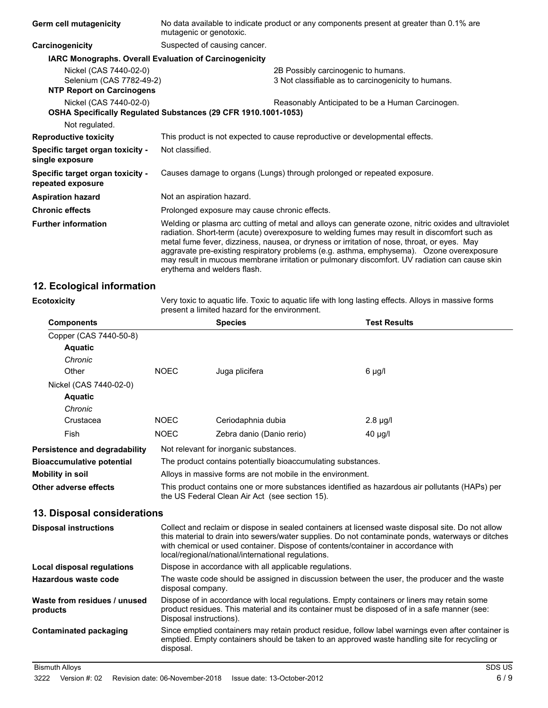| Germ cell mutagenicity                                | No data available to indicate product or any components present at greater than 0.1% are<br>mutagenic or genotoxic.                                                                                                                                                                                                                                                                                                                                                                                                            |  |  |
|-------------------------------------------------------|--------------------------------------------------------------------------------------------------------------------------------------------------------------------------------------------------------------------------------------------------------------------------------------------------------------------------------------------------------------------------------------------------------------------------------------------------------------------------------------------------------------------------------|--|--|
| Carcinogenicity                                       | Suspected of causing cancer.                                                                                                                                                                                                                                                                                                                                                                                                                                                                                                   |  |  |
|                                                       | <b>IARC Monographs. Overall Evaluation of Carcinogenicity</b>                                                                                                                                                                                                                                                                                                                                                                                                                                                                  |  |  |
| Nickel (CAS 7440-02-0)<br>Selenium (CAS 7782-49-2)    | 2B Possibly carcinogenic to humans.<br>3 Not classifiable as to carcinogenicity to humans.                                                                                                                                                                                                                                                                                                                                                                                                                                     |  |  |
| <b>NTP Report on Carcinogens</b>                      |                                                                                                                                                                                                                                                                                                                                                                                                                                                                                                                                |  |  |
| Nickel (CAS 7440-02-0)                                | Reasonably Anticipated to be a Human Carcinogen.<br>OSHA Specifically Regulated Substances (29 CFR 1910.1001-1053)                                                                                                                                                                                                                                                                                                                                                                                                             |  |  |
| Not regulated.                                        |                                                                                                                                                                                                                                                                                                                                                                                                                                                                                                                                |  |  |
| <b>Reproductive toxicity</b>                          | This product is not expected to cause reproductive or developmental effects.                                                                                                                                                                                                                                                                                                                                                                                                                                                   |  |  |
| Specific target organ toxicity -<br>single exposure   | Not classified.                                                                                                                                                                                                                                                                                                                                                                                                                                                                                                                |  |  |
| Specific target organ toxicity -<br>repeated exposure | Causes damage to organs (Lungs) through prolonged or repeated exposure.                                                                                                                                                                                                                                                                                                                                                                                                                                                        |  |  |
| <b>Aspiration hazard</b>                              | Not an aspiration hazard.                                                                                                                                                                                                                                                                                                                                                                                                                                                                                                      |  |  |
| <b>Chronic effects</b>                                | Prolonged exposure may cause chronic effects.                                                                                                                                                                                                                                                                                                                                                                                                                                                                                  |  |  |
| <b>Further information</b>                            | Welding or plasma arc cutting of metal and alloys can generate ozone, nitric oxides and ultraviolet<br>radiation. Short-term (acute) overexposure to welding fumes may result in discomfort such as<br>metal fume fever, dizziness, nausea, or dryness or irritation of nose, throat, or eyes. May<br>aggravate pre-existing respiratory problems (e.g. asthma, emphysema). Ozone overexposure<br>may result in mucous membrane irritation or pulmonary discomfort. UV radiation can cause skin<br>erythema and welders flash. |  |  |

### **12. Ecological information**

| <b>Ecotoxicity</b> |  |  |
|--------------------|--|--|
|                    |  |  |

Very toxic to aquatic life. Toxic to aquatic life with long lasting effects. Alloys in massive forms present a limited hazard for the environment.

| <b>Components</b>                        |                                                                                                                                                                                                                                                                                                                                                   | <b>Species</b>            | <b>Test Results</b>                                                                                                                                                                                 |
|------------------------------------------|---------------------------------------------------------------------------------------------------------------------------------------------------------------------------------------------------------------------------------------------------------------------------------------------------------------------------------------------------|---------------------------|-----------------------------------------------------------------------------------------------------------------------------------------------------------------------------------------------------|
| Copper (CAS 7440-50-8)                   |                                                                                                                                                                                                                                                                                                                                                   |                           |                                                                                                                                                                                                     |
| <b>Aquatic</b>                           |                                                                                                                                                                                                                                                                                                                                                   |                           |                                                                                                                                                                                                     |
| Chronic                                  |                                                                                                                                                                                                                                                                                                                                                   |                           |                                                                                                                                                                                                     |
| Other                                    | <b>NOEC</b>                                                                                                                                                                                                                                                                                                                                       | Juga plicifera            | 6 µg/l                                                                                                                                                                                              |
| Nickel (CAS 7440-02-0)                   |                                                                                                                                                                                                                                                                                                                                                   |                           |                                                                                                                                                                                                     |
| <b>Aquatic</b>                           |                                                                                                                                                                                                                                                                                                                                                   |                           |                                                                                                                                                                                                     |
| Chronic                                  |                                                                                                                                                                                                                                                                                                                                                   |                           |                                                                                                                                                                                                     |
| Crustacea                                | <b>NOEC</b>                                                                                                                                                                                                                                                                                                                                       | Ceriodaphnia dubia        | $2.8 \mu g/l$                                                                                                                                                                                       |
| Fish                                     | <b>NOEC</b>                                                                                                                                                                                                                                                                                                                                       | Zebra danio (Danio rerio) | $40 \mu g/l$                                                                                                                                                                                        |
| <b>Persistence and degradability</b>     | Not relevant for inorganic substances.                                                                                                                                                                                                                                                                                                            |                           |                                                                                                                                                                                                     |
| <b>Bioaccumulative potential</b>         | The product contains potentially bioaccumulating substances.                                                                                                                                                                                                                                                                                      |                           |                                                                                                                                                                                                     |
| Mobility in soil                         | Alloys in massive forms are not mobile in the environment.                                                                                                                                                                                                                                                                                        |                           |                                                                                                                                                                                                     |
| Other adverse effects                    | This product contains one or more substances identified as hazardous air pollutants (HAPs) per<br>the US Federal Clean Air Act (see section 15).                                                                                                                                                                                                  |                           |                                                                                                                                                                                                     |
| 13. Disposal considerations              |                                                                                                                                                                                                                                                                                                                                                   |                           |                                                                                                                                                                                                     |
| <b>Disposal instructions</b>             | Collect and reclaim or dispose in sealed containers at licensed waste disposal site. Do not allow<br>this material to drain into sewers/water supplies. Do not contaminate ponds, waterways or ditches<br>with chemical or used container. Dispose of contents/container in accordance with<br>local/regional/national/international regulations. |                           |                                                                                                                                                                                                     |
| Local disposal regulations               | Dispose in accordance with all applicable regulations.                                                                                                                                                                                                                                                                                            |                           |                                                                                                                                                                                                     |
| Hazardous waste code                     | The waste code should be assigned in discussion between the user, the producer and the waste<br>disposal company.                                                                                                                                                                                                                                 |                           |                                                                                                                                                                                                     |
| Waste from residues / unused<br>products | Dispose of in accordance with local regulations. Empty containers or liners may retain some<br>product residues. This material and its container must be disposed of in a safe manner (see:<br>Disposal instructions).                                                                                                                            |                           |                                                                                                                                                                                                     |
| Contaminated packaging                   | disposal.                                                                                                                                                                                                                                                                                                                                         |                           | Since emptied containers may retain product residue, follow label warnings even after container is<br>emptied. Empty containers should be taken to an approved waste handling site for recycling or |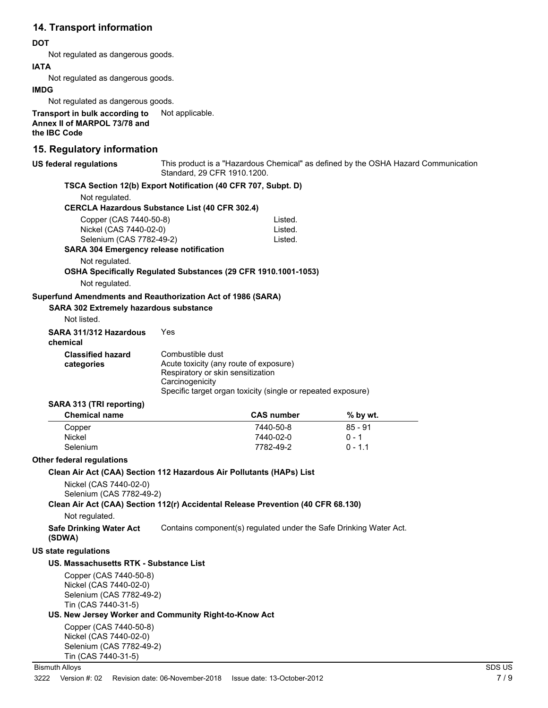# **14. Transport information**

### **DOT**

Not regulated as dangerous goods.

### **IATA**

Not regulated as dangerous goods.

### **IMDG**

Not regulated as dangerous goods.

**Transport in bulk according to** Not applicable. **Annex II of MARPOL 73/78 and the IBC Code**

### **15. Regulatory information**

| US federal regulations<br>Standard, 29 CFR 1910.1200. |                                                                                  |                                                                    |                                                                | This product is a "Hazardous Chemical" as defined by the OSHA Hazard Communication |  |
|-------------------------------------------------------|----------------------------------------------------------------------------------|--------------------------------------------------------------------|----------------------------------------------------------------|------------------------------------------------------------------------------------|--|
|                                                       | TSCA Section 12(b) Export Notification (40 CFR 707, Subpt. D)                    |                                                                    |                                                                |                                                                                    |  |
| Not regulated.                                        |                                                                                  |                                                                    |                                                                |                                                                                    |  |
|                                                       | <b>CERCLA Hazardous Substance List (40 CFR 302.4)</b>                            |                                                                    |                                                                |                                                                                    |  |
|                                                       | Copper (CAS 7440-50-8)                                                           |                                                                    | Listed.                                                        |                                                                                    |  |
|                                                       | Nickel (CAS 7440-02-0)                                                           |                                                                    | Listed.                                                        |                                                                                    |  |
|                                                       | Selenium (CAS 7782-49-2)                                                         |                                                                    | Listed.                                                        |                                                                                    |  |
|                                                       | <b>SARA 304 Emergency release notification</b>                                   |                                                                    |                                                                |                                                                                    |  |
|                                                       | Not regulated.                                                                   |                                                                    |                                                                |                                                                                    |  |
|                                                       |                                                                                  |                                                                    | OSHA Specifically Regulated Substances (29 CFR 1910.1001-1053) |                                                                                    |  |
|                                                       | Not regulated.                                                                   |                                                                    |                                                                |                                                                                    |  |
|                                                       | Superfund Amendments and Reauthorization Act of 1986 (SARA)                      |                                                                    |                                                                |                                                                                    |  |
|                                                       | <b>SARA 302 Extremely hazardous substance</b>                                    |                                                                    |                                                                |                                                                                    |  |
|                                                       | Not listed.                                                                      |                                                                    |                                                                |                                                                                    |  |
|                                                       | SARA 311/312 Hazardous<br>chemical                                               | Yes                                                                |                                                                |                                                                                    |  |
|                                                       | <b>Classified hazard</b>                                                         | Combustible dust                                                   |                                                                |                                                                                    |  |
|                                                       | categories                                                                       | Acute toxicity (any route of exposure)                             |                                                                |                                                                                    |  |
|                                                       |                                                                                  | Respiratory or skin sensitization                                  |                                                                |                                                                                    |  |
|                                                       |                                                                                  | Carcinogenicity                                                    |                                                                |                                                                                    |  |
|                                                       |                                                                                  |                                                                    | Specific target organ toxicity (single or repeated exposure)   |                                                                                    |  |
|                                                       | SARA 313 (TRI reporting)                                                         |                                                                    |                                                                |                                                                                    |  |
|                                                       | <b>Chemical name</b>                                                             |                                                                    | <b>CAS number</b>                                              | % by wt.                                                                           |  |
|                                                       | Copper                                                                           |                                                                    | 7440-50-8                                                      | $85 - 91$                                                                          |  |
|                                                       | <b>Nickel</b>                                                                    |                                                                    | 7440-02-0                                                      | $0 - 1$                                                                            |  |
|                                                       | Selenium                                                                         |                                                                    | 7782-49-2                                                      | $0 - 1.1$                                                                          |  |
|                                                       | Other federal regulations                                                        |                                                                    |                                                                |                                                                                    |  |
|                                                       | Clean Air Act (CAA) Section 112 Hazardous Air Pollutants (HAPs) List             |                                                                    |                                                                |                                                                                    |  |
|                                                       | Nickel (CAS 7440-02-0)                                                           |                                                                    |                                                                |                                                                                    |  |
|                                                       | Selenium (CAS 7782-49-2)                                                         |                                                                    |                                                                |                                                                                    |  |
|                                                       | Clean Air Act (CAA) Section 112(r) Accidental Release Prevention (40 CFR 68.130) |                                                                    |                                                                |                                                                                    |  |
|                                                       | Not regulated.                                                                   |                                                                    |                                                                |                                                                                    |  |
|                                                       | <b>Safe Drinking Water Act</b><br>(SDWA)                                         | Contains component(s) regulated under the Safe Drinking Water Act. |                                                                |                                                                                    |  |
|                                                       | US state regulations                                                             |                                                                    |                                                                |                                                                                    |  |
|                                                       | US. Massachusetts RTK - Substance List                                           |                                                                    |                                                                |                                                                                    |  |
|                                                       | Copper (CAS 7440-50-8)                                                           |                                                                    |                                                                |                                                                                    |  |
|                                                       | Nickel (CAS 7440-02-0)                                                           |                                                                    |                                                                |                                                                                    |  |
|                                                       | Selenium (CAS 7782-49-2)                                                         |                                                                    |                                                                |                                                                                    |  |
|                                                       | Tin (CAS 7440-31-5)                                                              |                                                                    |                                                                |                                                                                    |  |
|                                                       | US. New Jersey Worker and Community Right-to-Know Act                            |                                                                    |                                                                |                                                                                    |  |
|                                                       | Copper (CAS 7440-50-8)                                                           |                                                                    |                                                                |                                                                                    |  |
|                                                       | Nickel (CAS 7440-02-0)                                                           |                                                                    |                                                                |                                                                                    |  |
|                                                       | Selenium (CAS 7782-49-2)                                                         |                                                                    |                                                                |                                                                                    |  |
|                                                       | Tin (CAS 7440-31-5)                                                              |                                                                    |                                                                |                                                                                    |  |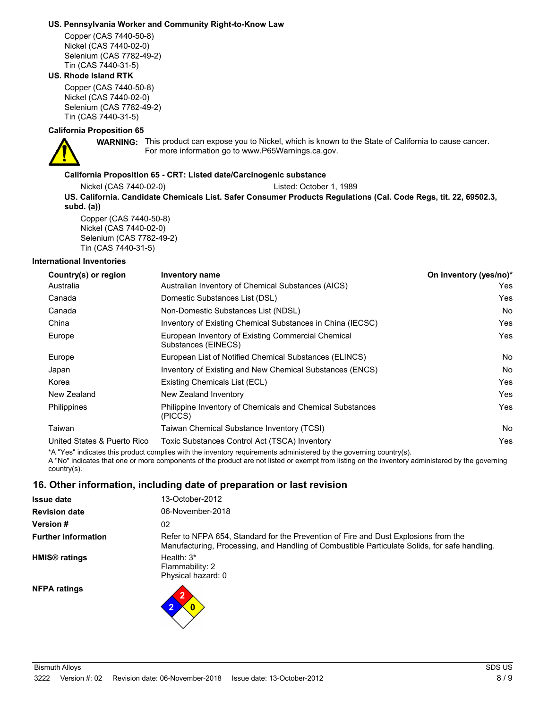#### **US. Pennsylvania Worker and Community Right-to-Know Law**

Copper (CAS 7440-50-8) Nickel (CAS 7440-02-0) Selenium (CAS 7782-49-2) Tin (CAS 7440-31-5)

### **US. Rhode Island RTK**

Copper (CAS 7440-50-8) Nickel (CAS 7440-02-0) Selenium (CAS 7782-49-2) Tin (CAS 7440-31-5)

### **California Proposition 65**



WARNING: This product can expose you to Nickel, which is known to the State of California to cause cancer. For more information go to www.P65Warnings.ca.gov.

### **California Proposition 65 - CRT: Listed date/Carcinogenic substance**

Nickel (CAS 7440-02-0) Listed: October 1, 1989 **US. California. Candidate Chemicals List. Safer Consumer Products Regulations (Cal. Code Regs, tit. 22, 69502.3, subd. (a))** Copper (CAS 7440-50-8)

Nickel (CAS 7440-02-0) Selenium (CAS 7782-49-2) Tin (CAS 7440-31-5)

#### **International Inventories**

| Country(s) or region        | Inventory name                                                                                                     | On inventory (yes/no)* |
|-----------------------------|--------------------------------------------------------------------------------------------------------------------|------------------------|
| Australia                   | Australian Inventory of Chemical Substances (AICS)                                                                 | Yes.                   |
| Canada                      | Domestic Substances List (DSL)                                                                                     | Yes                    |
| Canada                      | Non-Domestic Substances List (NDSL)                                                                                | No.                    |
| China                       | Inventory of Existing Chemical Substances in China (IECSC)                                                         | Yes                    |
| Europe                      | European Inventory of Existing Commercial Chemical<br>Substances (EINECS)                                          | Yes.                   |
| Europe                      | European List of Notified Chemical Substances (ELINCS)                                                             | No.                    |
| Japan                       | Inventory of Existing and New Chemical Substances (ENCS)                                                           | No.                    |
| Korea                       | Existing Chemicals List (ECL)                                                                                      | Yes                    |
| New Zealand                 | New Zealand Inventory                                                                                              | Yes                    |
| <b>Philippines</b>          | Philippine Inventory of Chemicals and Chemical Substances<br>(PICCS)                                               | Yes                    |
| Taiwan                      | Taiwan Chemical Substance Inventory (TCSI)                                                                         | No.                    |
| United States & Puerto Rico | Toxic Substances Control Act (TSCA) Inventory                                                                      | Yes.                   |
|                             | *A "Yes" indicates this product complies with the inventory requirements administered by the governing country(s). |                        |

A "No" indicates that one or more components of the product are not listed or exempt from listing on the inventory administered by the governing country(s).

### **16. Other information, including date of preparation or last revision**

| <b>Issue date</b>               | 13-October-2012                                                                                                                                                                      |
|---------------------------------|--------------------------------------------------------------------------------------------------------------------------------------------------------------------------------------|
| <b>Revision date</b>            | 06-November-2018                                                                                                                                                                     |
| <b>Version#</b>                 | 02                                                                                                                                                                                   |
| <b>Further information</b>      | Refer to NFPA 654, Standard for the Prevention of Fire and Dust Explosions from the<br>Manufacturing, Processing, and Handling of Combustible Particulate Solids, for safe handling. |
| <b>HMIS<sup>®</sup></b> ratings | Health: $3*$<br>Flammability: 2<br>Physical hazard: 0                                                                                                                                |
| <b>NFPA ratings</b>             |                                                                                                                                                                                      |